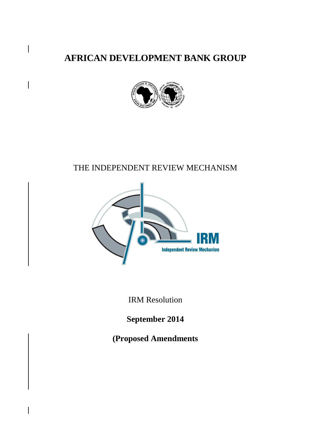**AFRICAN DEVELOPMENT BANK GROUP**



# THE INDEPENDENT REVIEW MECHANISM



IRM Resolution

**September 2014**

**(Proposed Amendments**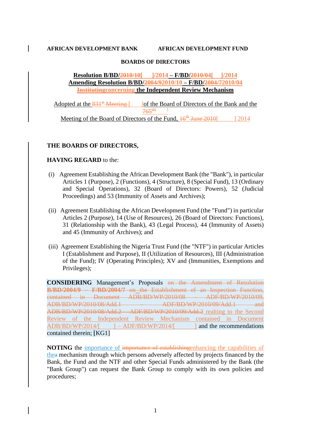#### **AFRICAN DEVELOPMENT BANK AFRICAN DEVELOPMENT FUND**

#### **BOARDS OF DIRECTORS**

**Resolution B/BD/2010/10[ ]/2014 – F/BD/2010/04[ ]/2014 Amending Resolution B/BD/2004/92010/10 – F/BD/2004/72010/04 Institutingconcerning the Independent Review Mechanism**

Adopted at the  $831^{st}$ -Meeting-[ ]of the Board of Directors of the Bank and the  $765^{th}$  ] Meeting of the Board of Directors of the Fund,  $16^{th}$ -June 2010[ ] 2014

# **THE BOARDS OF DIRECTORS,**

#### **HAVING REGARD** to the:

- (i) Agreement Establishing the African Development Bank (the "Bank"), in particular Articles 1 (Purpose), 2 (Functions), 4 (Structure), 8 (Special Fund), 13 (Ordinary and Special Operations), 32 (Board of Directors: Powers), 52 (Judicial Proceedings) and 53 (Immunity of Assets and Archives);
- (ii) Agreement Establishing the African Development Fund (the "Fund") in particular Articles 2 (Purpose), 14 (Use of Resources), 26 (Board of Directors: Functions), 31 (Relationship with the Bank), 43 (Legal Process), 44 (Immunity of Assets) and 45 (Immunity of Archives); and
- (iii) Agreement Establishing the Nigeria Trust Fund (the "NTF") in particular Articles I (Establishment and Purpose), II (Utilization of Resources), III (Administration of the Fund); IV (Operating Principles); XV and (Immunities, Exemptions and Privileges);

**CONSIDERING** Management's Proposals on the Amendment of Resolution **B/BD/2004/9 – F/BD/2004/7** on the Establishment of an Inspection Function, contained in Document ADB/BD/WP/2010/08 – ADF/BD/WP/2010/09, ADB/BD/WP/2010/08/Add.1 – ADF/BD/WP/2010/09/Add.1 and ADB/BD/WP/2010/08/Add.2 – ADF/BD/WP/2010/09/Add.2 realting to the Second Review of the Independent Review Mechanism contained in Document  $ADB/BD/WP/2014/$ [  $- ADF/BD/WP/2014/$  ] and the recommendations contained therein; [KG1]

**NOTING** the importance of importance of establishing enhancing the capabilities of thea mechanism through which persons adversely affected by projects financed by the Bank, the Fund and the NTF and other Special Funds administered by the Bank (the "Bank Group") can request the Bank Group to comply with its own policies and procedures;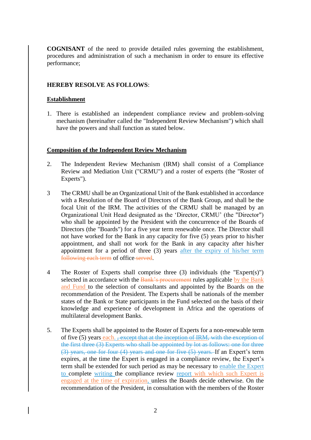**COGNISANT** of the need to provide detailed rules governing the establishment, procedures and administration of such a mechanism in order to ensure its effective performance;

## **HEREBY RESOLVE AS FOLLOWS**:

#### **Establishment**

1. There is established an independent compliance review and problem-solving mechanism (hereinafter called the "Independent Review Mechanism") which shall have the powers and shall function as stated below.

#### **Composition of the Independent Review Mechanism**

- 2. The Independent Review Mechanism (IRM) shall consist of a Compliance Review and Mediation Unit ("CRMU") and a roster of experts (the "Roster of Experts").
- 3 The CRMU shall be an Organizational Unit of the Bank established in accordance with a Resolution of the Board of Directors of the Bank Group, and shall be the focal Unit of the IRM. The activities of the CRMU shall be managed by an Organizational Unit Head designated as the 'Director, CRMU' (the "Director") who shall be appointed by the President with the concurrence of the Boards of Directors (the "Boards") for a five year term renewable once. The Director shall not have worked for the Bank in any capacity for five (5) years prior to his/her appointment, and shall not work for the Bank in any capacity after his/her appointment for a period of three (3) years after the expiry of his/her term following each term of office served.
- 4 The Roster of Experts shall comprise three (3) individuals (the "Expert(s)") selected in accordance with the Bank's procurement rules applicable by the Bank and Fund to the selection of consultants and appointed by the Boards on the recommendation of the President. The Experts shall be nationals of the member states of the Bank or State participants in the Fund selected on the basis of their knowledge and experience of development in Africa and the operations of multilateral development Banks.
- 5. The Experts shall be appointed to the Roster of Experts for a non-renewable term of five (5) years each. , except that at the inception of IRM, with the exception of the first three (3) Experts who shall be appointed by lot as follows: one for three (3) years, one for four (4) years and one for five (5) years. If an Expert's term expires, at the time the Expert is engaged in a compliance review, the Expert's term shall be extended for such period as may be necessary to enable the Expert to complete writing the compliance review report with which such Expert is engaged at the time of expiration, unless the Boards decide otherwise. On the recommendation of the President, in consultation with the members of the Roster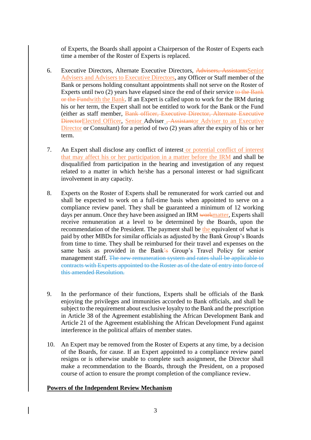of Experts, the Boards shall appoint a Chairperson of the Roster of Experts each time a member of the Roster of Experts is replaced.

- 6. Executive Directors, Alternate Executive Directors, Advisers, AssistantsSenior Advisers and Advisers to Executive Directors, any Officer or Staff member of the Bank or persons holding consultant appointments shall not serve on the Roster of Experts until two (2) years have elapsed since the end of their service to the Bank or the Fundwith the Bank. If an Expert is called upon to work for the IRM during his or her term, the Expert shall not be entitled to work for the Bank or the Fund (either as staff member, Bank officer, Executive Director, Alternate Executive DirectorElected Officer, Senior Adviser , Assistantor Adviser to an Executive Director or Consultant) for a period of two (2) years after the expiry of his or her term.
- 7. An Expert shall disclose any conflict of interest or potential conflict of interest that may affect his or her participation in a matter before the IRM and shall be disqualified from participation in the hearing and investigation of any request related to a matter in which he/she has a personal interest or had significant involvement in any capacity.
- 8. Experts on the Roster of Experts shall be remunerated for work carried out and shall be expected to work on a full-time basis when appointed to serve on a compliance review panel. They shall be guaranteed a minimum of 12 working days per annum. Once they have been assigned an IRM workmatter, Experts shall receive remuneration at a level to be determined by the Boards, upon the recommendation of the President. The payment shall be the equivalent of what is paid by other MBDs for similar officials as adjusted by the Bank Group's Boards from time to time. They shall be reimbursed for their travel and expenses on the same basis as provided in the Bank's Group's Travel Policy for senior management staff. The new remuneration system and rates shall be applicable to contracts with Experts appointed to the Roster as of the date of entry into force of this amended Resolution.
- 9. In the performance of their functions, Experts shall be officials of the Bank enjoying the privileges and immunities accorded to Bank officials, and shall be subject to the requirement about exclusive loyalty to the Bank and the prescription in Article 38 of the Agreement establishing the African Development Bank and Article 21 of the Agreement establishing the African Development Fund against interference in the political affairs of member states.
- 10. An Expert may be removed from the Roster of Experts at any time, by a decision of the Boards, for cause. If an Expert appointed to a compliance review panel resigns or is otherwise unable to complete such assignment, the Director shall make a recommendation to the Boards, through the President, on a proposed course of action to ensure the prompt completion of the compliance review.

#### **Powers of the Independent Review Mechanism**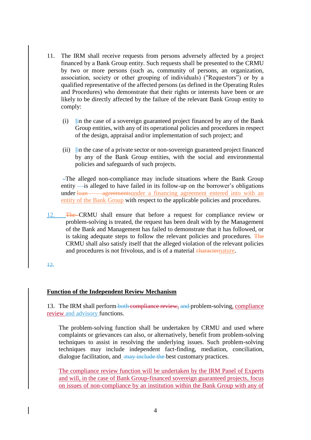- 11. The IRM shall receive requests from persons adversely affected by a project financed by a Bank Group entity. Such requests shall be presented to the CRMU by two or more persons (such as, community of persons, an organization, association, society or other grouping of individuals) ("Requestors") or by a qualified representative of the affected persons (as defined in the Operating Rules and Procedures) who demonstrate that their rights or interests have been or are likely to be directly affected by the failure of the relevant Bank Group entity to comply:
	- (i) Iin the case of a sovereign guaranteed project financed by any of the Bank Group entities, with any of its operational policies and procedures in respect of the design, appraisal and/or implementation of such project; and
	- (ii)  $\overline{I}$  in the case of a private sector or non-sovereign guaranteed project financed by any of the Bank Group entities, with the social and environmental policies and safeguards of such projects.

The alleged non-compliance may include situations where the Bank Group entity — is alleged to have failed in its follow-up on the borrower's obligations under loan agreement under a financing agreement entered into with an entity of the Bank Group with respect to the applicable policies and procedures.

12. The CRMU shall ensure that before a request for compliance review or problem-solving is treated, the request has been dealt with by the Management of the Bank and Management has failed to demonstrate that it has followed, or is taking adequate steps to follow the relevant policies and procedures. The CRMU shall also satisfy itself that the alleged violation of the relevant policies and procedures is not frivolous, and is of a material characternature.

12.

# **Function of the Independent Review Mechanism**

13. The IRM shall perform both compliance review, and problem-solving, compliance review and advisory functions.

The problem-solving function shall be undertaken by CRMU and used where complaints or grievances can also, or alternatively, benefit from problem-solving techniques to assist in resolving the underlying issues. Such problem-solving techniques may include independent fact-finding, mediation, conciliation, dialogue facilitation, and <del>may include the</del> best customary practices.

The compliance review function will be undertaken by the IRM Panel of Experts and will, in the case of Bank Group-financed sovereign guaranteed projects, focus on issues of non-compliance by an institution within the Bank Group with any of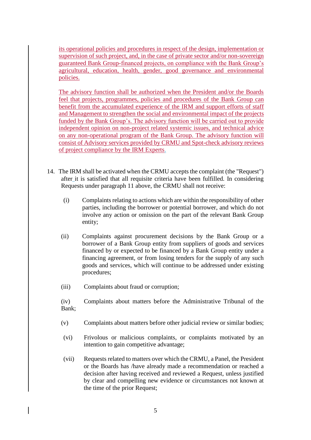its operational policies and procedures in respect of the design, implementation or supervision of such project, and, in the case of private sector and/or non-sovereign guaranteed Bank Group-financed projects, on compliance with the Bank Group's agricultural, education, health, gender, good governance and environmental policies.

The advisory function shall be authorized when the President and/or the Boards feel that projects, programmes, policies and procedures of the Bank Group can benefit from the accumulated experience of the IRM and support efforts of staff and Management to strengthen the social and environmental impact of the projects funded by the Bank Group's. The advisory function will be carried out to provide independent opinion on non-project related systemic issues, and technical advice on any non-operational program of the Bank Group. The advisory function will consist of Advisory services provided by CRMU and Spot-check advisory reviews of project compliance by the IRM Experts.

- 14. The IRM shall be activated when the CRMU accepts the complaint (the "Request") after it is satisfied that all requisite criteria have been fulfilled. In considering Requests under paragraph 11 above, the CRMU shall not receive:
	- (i) Complaints relating to actions which are within the responsibility of other parties, including the borrower or potential borrower, and which do not involve any action or omission on the part of the relevant Bank Group entity;
	- (ii) Complaints against procurement decisions by the Bank Group or a borrower of a Bank Group entity from suppliers of goods and services financed by or expected to be financed by a Bank Group entity under a financing agreement, or from losing tenders for the supply of any such goods and services, which will continue to be addressed under existing procedures;
	- (iii) Complaints about fraud or corruption;

(iv) Complaints about matters before the Administrative Tribunal of the Bank;

- (v) Complaints about matters before other judicial review or similar bodies;
- (vi) Frivolous or malicious complaints, or complaints motivated by an intention to gain competitive advantage;
- (vii) Requests related to matters over which the CRMU, a Panel, the President or the Boards has /have already made a recommendation or reached a decision after having received and reviewed a Request, unless justified by clear and compelling new evidence or circumstances not known at the time of the prior Request;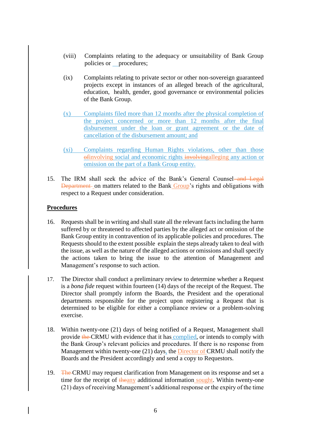- (viii) Complaints relating to the adequacy or unsuitability of Bank Group policies or procedures;
- (ix) Complaints relating to private sector or other non-sovereign guaranteed projects except in instances of an alleged breach of the agricultural, education, health, gender, good governance or environmental policies of the Bank Group.
- (x) Complaints filed more than 12 months after the physical completion of the project concerned or more than 12 months after the final disbursement under the loan or grant agreement or the date of cancellation of the disbursement amount; and
- (xi) Complaints regarding Human Rights violations, other than those of involving social and economic rights involvingalleging any action or omission on the part of a Bank Group entity.
- 15. The IRM shall seek the advice of the Bank's General Counsel—and Legal Department on matters related to the Bank Group's rights and obligations with respect to a Request under consideration.

## **Procedures**

- 16. Requests shall be in writing and shall state all the relevant facts including the harm suffered by or threatened to affected parties by the alleged act or omission of the Bank Group entity in contravention of its applicable policies and procedures. The Requests should to the extent possible explain the steps already taken to deal with the issue, as well as the nature of the alleged actions or omissions and shall specify the actions taken to bring the issue to the attention of Management and Management's response to such action.
- 17. The Director shall conduct a preliminary review to determine whether a Request is a *bona fide* request within fourteen (14) days of the receipt of the Request. The Director shall promptly inform the Boards, the President and the operational departments responsible for the project upon registering a Request that is determined to be eligible for either a compliance review or a problem-solving exercise.
- 18. Within twenty-one (21) days of being notified of a Request, Management shall provide the CRMU with evidence that it has complied, or intends to comply with the Bank Group's relevant policies and procedures. If there is no response from Management within twenty-one (21) days, the **Director of CRMU** shall notify the Boards and the President accordingly and send a copy to Requestors.
- 19. The CRMU may request clarification from Management on its response and set a time for the receipt of theany additional information sought. Within twenty-one (21) days of receiving Management's additional response or the expiry of the time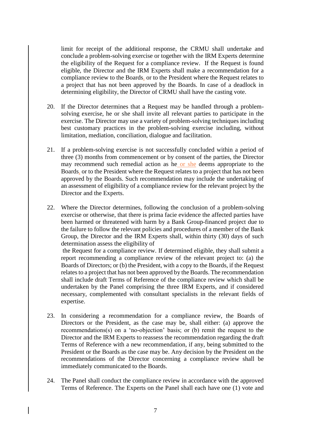limit for receipt of the additional response, the CRMU shall undertake and conclude a problem-solving exercise or together with the IRM Experts determine the eligibility of the Request for a compliance review. If the Request is found eligible, the Director and the IRM Experts shall make a recommendation for a compliance review to the Boards, or to the President where the Request relates to a project that has not been approved by the Boards. In case of a deadlock in determining eligibility, the Director of CRMU shall have the casting vote.

- 20. If the Director determines that a Request may be handled through a problemsolving exercise, he or she shall invite all relevant parties to participate in the exercise. The Director may use a variety of problem-solving techniques including best customary practices in the problem-solving exercise including, without limitation, mediation, conciliation, dialogue and facilitation.
- 21. If a problem-solving exercise is not successfully concluded within a period of three (3) months from commencement or by consent of the parties, the Director may recommend such remedial action as he or she deems appropriate to the Boards, or to the President where the Request relates to a project that has not been approved by the Boards. Such recommendation may include the undertaking of an assessment of eligibility of a compliance review for the relevant project by the Director and the Experts.
- 22. Where the Director determines, following the conclusion of a problem-solving exercise or otherwise, that there is prima facie evidence the affected parties have been harmed or threatened with harm by a Bank Group-financed project due to the failure to follow the relevant policies and procedures of a member of the Bank Group, the Director and the IRM Experts shall, within thirty (30) days of such determination assess the eligibility of

the Request for a compliance review. If determined eligible, they shall submit a report recommending a compliance review of the relevant project to: (a) the Boards of Directors; or (b) the President, with a copy to the Boards, if the Request relates to a project that has not been approved by the Boards. The recommendation shall include draft Terms of Reference of the compliance review which shall be undertaken by the Panel comprising the three IRM Experts, and if considered necessary, complemented with consultant specialists in the relevant fields of expertise.

- 23. In considering a recommendation for a compliance review, the Boards of Directors or the President, as the case may be, shall either: (a) approve the recommendations(s) on a 'no-objection' basis; or (b) remit the request to the Director and the IRM Experts to reassess the recommendation regarding the draft Terms of Reference with a new recommendation, if any, being submitted to the President or the Boards as the case may be. Any decision by the President on the recommendations of the Director concerning a compliance review shall be immediately communicated to the Boards.
- 24. The Panel shall conduct the compliance review in accordance with the approved Terms of Reference. The Experts on the Panel shall each have one (1) vote and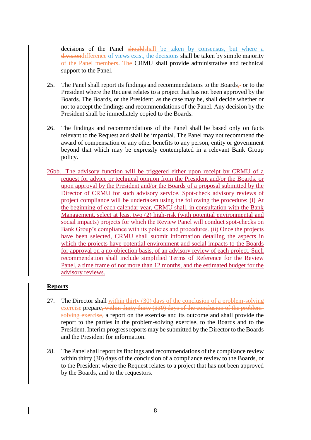decisions of the Panel shouldshall be taken by consensus, but where a divisiondifference of views exist, the decisions shall be taken by simple majority of the Panel members. The CRMU shall provide administrative and technical support to the Panel.

- 25. The Panel shall report its findings and recommendations to the Boards, or to the President where the Request relates to a project that has not been approved by the Boards. The Boards, or the President, as the case may be, shall decide whether or not to accept the findings and recommendations of the Panel. Any decision by the President shall be immediately copied to the Boards.
- 26. The findings and recommendations of the Panel shall be based only on facts relevant to the Request and shall be impartial. The Panel may not recommend the award of compensation or any other benefits to any person, entity or government beyond that which may be expressly contemplated in a relevant Bank Group policy.
- 26bb. The advisory function will be triggered either upon receipt by CRMU of a request for advice or technical opinion from the President and/or the Boards, or upon approval by the President and/or the Boards of a proposal submitted by the Director of CRMU for such advisory service. Spot-check advisory reviews of project compliance will be undertaken using the following the procedure: (i) At the beginning of each calendar year, CRMU shall, in consultation with the Bank Management, select at least two (2) high-risk (with potential environmental and social impacts) projects for which the Review Panel will conduct spot-checks on Bank Group's compliance with its policies and procedures. (ii) Once the projects have been selected, CRMU shall submit information detailing the aspects in which the projects have potential environment and social impacts to the Boards for approval on a no-objection basis, of an advisory review of each project. Such recommendation shall include simplified Terms of Reference for the Review Panel, a time frame of not more than 12 months, and the estimated budget for the advisory reviews.

## **Reports**

- 27. The Director shall within thirty (30) days of the conclusion of a problem-solving exercise prepare, within thirty thirty (330) days of the conclusion of the problemsolving exercise, a report on the exercise and its outcome and shall provide the report to the parties in the problem-solving exercise, to the Boards and to the President. Interim progress reports may be submitted by the Director to the Boards and the President for information.
- 28. The Panel shall report its findings and recommendations of the compliance review within thirty (30) days of the conclusion of a compliance review to the Boards, or to the President where the Request relates to a project that has not been approved by the Boards, and to the requestors.